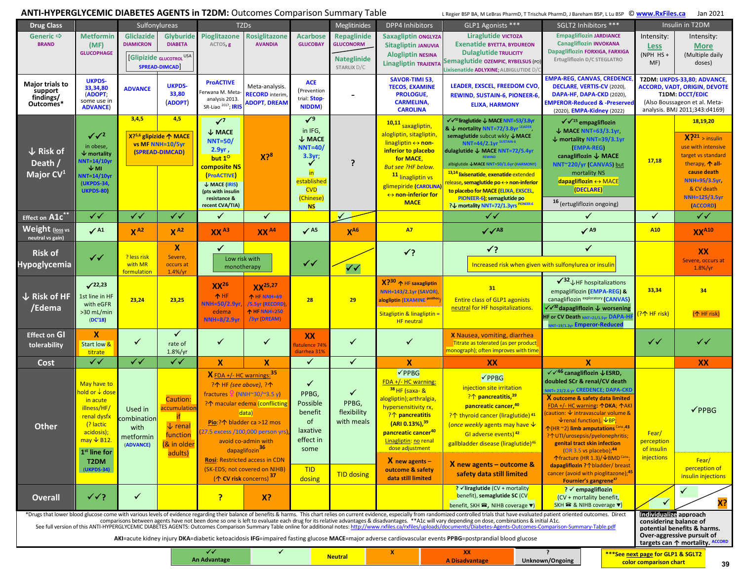## **ANTI-HYPERGLYCEMIC DIABETES AGENTS in T2DM:** Outcomes Comparison Summary Table

L Regier BSP BA, M LeBras PharmD, T Trischuk PharmD, J Bareham BSP, L Lu BSP © **www.RxFiles.ca** Jan 2021

| <b>Drug Class</b>                                                                                                                                                                                                                                                                                                                                                                                                                                                                                                                                                                                                              | Sulfonylureas                                                                                                                                                |                                                          |                                                                                  | <b>TZDs</b>                                                                                                                                                                                                                                                                             |                                                                                                     |                                                                                                                                    | Meglitinides                                                         | DPP4 Inhibitors                                                                                                                                                                                                                                          |                            | GLP1 Agonists ***                                                                                                                                                                                                                                                                                                                                                                                                                                   | SGLT2 Inhibitors ***                                                                                                                                                                                                                                                                                                                                                                                                                                                                                                   |                                                                                                                                                                                                                                                                            | Insulin in T2DM                                                                                                                                                |                                                                                                                                                                                             |  |
|--------------------------------------------------------------------------------------------------------------------------------------------------------------------------------------------------------------------------------------------------------------------------------------------------------------------------------------------------------------------------------------------------------------------------------------------------------------------------------------------------------------------------------------------------------------------------------------------------------------------------------|--------------------------------------------------------------------------------------------------------------------------------------------------------------|----------------------------------------------------------|----------------------------------------------------------------------------------|-----------------------------------------------------------------------------------------------------------------------------------------------------------------------------------------------------------------------------------------------------------------------------------------|-----------------------------------------------------------------------------------------------------|------------------------------------------------------------------------------------------------------------------------------------|----------------------------------------------------------------------|----------------------------------------------------------------------------------------------------------------------------------------------------------------------------------------------------------------------------------------------------------|----------------------------|-----------------------------------------------------------------------------------------------------------------------------------------------------------------------------------------------------------------------------------------------------------------------------------------------------------------------------------------------------------------------------------------------------------------------------------------------------|------------------------------------------------------------------------------------------------------------------------------------------------------------------------------------------------------------------------------------------------------------------------------------------------------------------------------------------------------------------------------------------------------------------------------------------------------------------------------------------------------------------------|----------------------------------------------------------------------------------------------------------------------------------------------------------------------------------------------------------------------------------------------------------------------------|----------------------------------------------------------------------------------------------------------------------------------------------------------------|---------------------------------------------------------------------------------------------------------------------------------------------------------------------------------------------|--|
| Generic ⇒<br><b>BRAND</b>                                                                                                                                                                                                                                                                                                                                                                                                                                                                                                                                                                                                      | <b>Metformin</b><br>(MF)<br><b>GLUCOPHAGE</b>                                                                                                                | <b>Gliclazide</b><br><b>DIAMICRON</b>                    | <b>Glyburide</b><br><b>DIABETA</b><br>[Glipizide GLUCOTROL USA<br>SPREAD-DIMCAD  | Pioglitazone<br>ACTOS <sub>, g</sub>                                                                                                                                                                                                                                                    | <b>Rosiglitazone</b><br><b>AVANDIA</b>                                                              | <b>Acarbose</b><br><b>GLUCOBAY</b>                                                                                                 | Repaglinide<br><b>GLUCONORM</b><br><b>Nateglinide</b><br>STARLIX D/C | <b>Saxagliptin ONGLYZA</b><br><b>Sitagliptin JANUVIA</b><br><b>Alogliptin NESINA</b><br><b>Linagliptin TRAJENTA</b>                                                                                                                                      |                            | Liraglutide victoza<br><b>Exenatide BYETTA, BYDUREON</b><br><b>Dulaglutide TRULICITY</b><br>Semaglutide OZEMPIC, RYBELSUS (PO)<br>Lixisenatide ADLYXINE; ALBIGLUTIDE D/                                                                                                                                                                                                                                                                             |                                                                                                                                                                                                                                                                                                                                                                                                                                                                                                                        | <b>Empagliflozin JARDIANCE</b><br><b>Canagliflozin INVOKANA</b><br>Dapagliflozin FORXIGA, FARXIGA<br>Ertugliflozin D/C STEGLATRO                                                                                                                                           | Intensity:<br><b>Less</b><br>(NPH HS +<br>MF)                                                                                                                  | Intensity:<br><b>More</b><br>(Multiple daily<br>doses)                                                                                                                                      |  |
| <b>Major trials to</b><br>support<br>findings/<br>Outcomes*                                                                                                                                                                                                                                                                                                                                                                                                                                                                                                                                                                    | <b>UKPDS-</b><br>33,34,80<br>(ADOPT;<br>some use in<br><b>ADVANCE)</b>                                                                                       | <b>ADVANCE</b>                                           | <b>UKPDS-</b><br>33,80<br>(ADOPT)                                                | <b>ProACTIVE</b><br>erwana M. Meta<br>analysis 2013.<br>SR-Liao <sup>2017</sup> ; IRIS                                                                                                                                                                                                  | Meta-analysis.<br><b>RECORD</b> interim<br>ADOPT, DREAM                                             |                                                                                                                                    |                                                                      | <b>SAVOR-TIMI 53,</b><br><b>TECOS, EXAMINE</b><br><b>PROLOGUE,</b><br><b>CARMELINA,</b><br><b>CAROLINA</b>                                                                                                                                               |                            | <b>LEADER, EXSCEL, FREEDOM CVO,</b><br><b>REWIND, SUSTAIN-6, PIONEER-6,</b><br><b>ELIXA, HARMONY</b>                                                                                                                                                                                                                                                                                                                                                | <b>EMPA-REG, CANVAS, CREDENC</b><br>DECLARE, VERTIS-CV (2020),<br>DAPA-HF, DAPA-CKD (2020),<br><b>EMPEROR-Reduced &amp; -Preserve</b><br>(2020), <b>EMPA-Kidney</b> (2022)                                                                                                                                                                                                                                                                                                                                             |                                                                                                                                                                                                                                                                            | T2DM: UKPDS-33,80; ADVANCE,<br><b>ACCORD, VADT, ORIGIN, DEVOTE</b><br><b>T1DM: DCCT/EDIC</b><br>(Also Boussageon et al. Meta-<br>analysis. BMJ 2011;343:d4169) |                                                                                                                                                                                             |  |
| $\downarrow$ Risk of<br>Death /<br>Major CV <sup>1</sup>                                                                                                                                                                                                                                                                                                                                                                                                                                                                                                                                                                       | $\sqrt{2}$<br>in obese,<br>$\overline{\mathbf{\Psi}}$ mortality<br><b>NNT=14/10yr</b><br>$\sqrt{M}$<br>VNT=14/10yr<br><b>(UKPDS-34,</b><br><b>UKPDS-80)</b>  | 3,4,5                                                    | 4,5<br>X? <sup>5,6</sup> glipizide ↑ MACE<br>vs MF NNH=10/5yr<br>(SPREAD-DIMCAD) | $\sqrt{7}$<br>$\downarrow$ MACE<br><b>NNT=50/</b><br>2.9yr,<br>but 1 <sup>o</sup><br>composite NS<br>(ProACTIVE)<br>↓ MACE (IRIS)<br>(pts with insulin<br>resistance &<br>recent CVA/TIA)                                                                                               | X <sup>28</sup>                                                                                     | $\sqrt{9}$<br>in IFG,<br>$\downarrow$ MACE<br><b>NNT=40/</b><br>3.3yr<br>in<br>established<br><b>CVD</b><br>(Chinese)<br><b>NS</b> | ?                                                                    | 10,11 saxagliptin,<br>alogliptin, sitagliptin,<br>linagliptin $\leftrightarrow$ non-<br>inferior to placebo<br>for MACE,<br><b>But see ?HF below.</b><br>11 linagliptin vs<br>glimepiride (CAROLINA<br>$\leftrightarrow$ non-inferior for<br><b>MACE</b> |                            | √√ <sup>12</sup> liraglutide ↓ MACE NNT=53/3.8yr<br>& ↓ mortality NNT=72/3.8yr LEADER<br>semaglutide subcut wkly $\downarrow$ MACE<br><b>NNT=44/2.1yr SUSTAIN-6</b><br>dulaglutide ↓ MACE NNT=72/5.4yr<br>albiglutide ↓MACE NNT=50/1.6yr (HARMONY)<br>13,14 lixisenatide, exenatide extended<br>release, semaglutide po ↔ non-inferior<br>to placebo for MACE (ELIXA, EXSCEL,<br>PIONEER-6); semaglutide po<br>P↓ mortality NNT=72/1.3yrs PIONEER-6 |                                                                                                                                                                                                                                                                                                                                                                                                                                                                                                                        | $\sqrt{2^{15}}$ empagliflozin<br>↓ MACE NNT=63/3.1yr<br>$\downarrow$ mortality NNT=39/3.1yr<br>(EMPA-REG)<br>canagliflozin $\downarrow$ MACE<br>NNT~220/yr (CANVAS) but<br>mortality NS<br>dapagliflozin $\leftrightarrow$ MACE<br>(DECLARE)<br>16 (ertugliflozin ongoing) | 17,18                                                                                                                                                          | 18,19,20<br>$X^{221}$ > insulin<br>use with intensive<br>target vs standard<br>therapy, $\spadesuit$ all-<br>cause death<br>NNH=95/3.5yr.<br>& CV death<br><b>NNH=125/3.5yr</b><br>(ACCORD) |  |
| Effect on A1c**                                                                                                                                                                                                                                                                                                                                                                                                                                                                                                                                                                                                                | ✓✓                                                                                                                                                           | $\checkmark$                                             | $\checkmark$                                                                     | $\checkmark$                                                                                                                                                                                                                                                                            | ✓                                                                                                   |                                                                                                                                    | $\checkmark$                                                         |                                                                                                                                                                                                                                                          |                            | $\checkmark$                                                                                                                                                                                                                                                                                                                                                                                                                                        |                                                                                                                                                                                                                                                                                                                                                                                                                                                                                                                        | ✓                                                                                                                                                                                                                                                                          | ✓                                                                                                                                                              | $\checkmark\checkmark$                                                                                                                                                                      |  |
| <b>Weight (loss vs</b><br>neutral vs gain)                                                                                                                                                                                                                                                                                                                                                                                                                                                                                                                                                                                     | $\checkmark$ A1                                                                                                                                              | $X^{A2}$                                                 | $X^{A2}$                                                                         | $XX^{A3}$                                                                                                                                                                                                                                                                               | $XX^{A4}$                                                                                           | $\sqrt{45}$                                                                                                                        | $X^{A6}$                                                             | <b>A7</b>                                                                                                                                                                                                                                                |                            | $\sqrt{\sqrt{AB}}$                                                                                                                                                                                                                                                                                                                                                                                                                                  |                                                                                                                                                                                                                                                                                                                                                                                                                                                                                                                        | $\sqrt{49}$                                                                                                                                                                                                                                                                | A <sub>10</sub>                                                                                                                                                | XX <sup>A10</sup>                                                                                                                                                                           |  |
| <b>Risk of</b><br><b>Hypoglycemia</b>                                                                                                                                                                                                                                                                                                                                                                                                                                                                                                                                                                                          | $\checkmark$                                                                                                                                                 | ? less risk<br>with MR<br>formulation                    | $\boldsymbol{x}$<br>Severe,<br>occurs at<br>$1.4\%/yr$                           | $\checkmark$<br>Low risk with<br>monotherapy                                                                                                                                                                                                                                            |                                                                                                     | $\checkmark$                                                                                                                       | $\sqrt{2}$                                                           | $\checkmark$                                                                                                                                                                                                                                             |                            | $\checkmark$                                                                                                                                                                                                                                                                                                                                                                                                                                        | $\checkmark$<br>Increased risk when given with sulfonylurea or insulin                                                                                                                                                                                                                                                                                                                                                                                                                                                 |                                                                                                                                                                                                                                                                            |                                                                                                                                                                | XX<br>Severe, occurs at<br>$1.8\%/yr$                                                                                                                                                       |  |
| $\downarrow$ Risk of HF<br>/Edema                                                                                                                                                                                                                                                                                                                                                                                                                                                                                                                                                                                              | $\sqrt{22,23}$<br>1st line in HF<br>with eGFR<br>$>30$ mL/min<br>(DC'18)                                                                                     | 23,24                                                    | 23,25                                                                            | XX <sup>26</sup><br>个 HF<br>NNH=50/2.9yr<br>edema<br><b>NNH=8/2.9yr</b>                                                                                                                                                                                                                 | $XX^{25,27}$<br><b>1 HF NNH=69</b><br><b>/5.5yr (RECORD)</b><br>个 HF NNH=250<br><b>/3yr (DREAM)</b> | 28                                                                                                                                 | 29                                                                   | X? <sup>30</sup> ↑ HF saxagliptin<br><b>NNH=143/2.1yr (SAVOR)</b><br>alogliptin (EXAMINE <sup>postho</sup><br>Sitagliptin & linagliptin =<br><b>HF</b> neutral                                                                                           |                            | 31<br><b>Entire class of GLP1 agonists</b><br>neutral for HF hospitalizations.                                                                                                                                                                                                                                                                                                                                                                      |                                                                                                                                                                                                                                                                                                                                                                                                                                                                                                                        | $\sqrt{32}$ JHF hospitalizations<br>empagliflozin (EMPA-REG) &<br>canagliflozin exploratory (CANVAS)<br>$\sqrt{32}$ dapagliflozin $\sqrt{ }$ worsening<br>HF or CV Death NNT=21/1.5vr DAPA-H<br>INT=19/1.3yr Emperor-Reduced                                               | 33,34<br><mark>?个 HF risk)</mark>                                                                                                                              | 34<br>(个 HF risk)                                                                                                                                                                           |  |
| <b>Effect on GI</b><br>tolerability                                                                                                                                                                                                                                                                                                                                                                                                                                                                                                                                                                                            | $\boldsymbol{\mathsf{x}}$<br>Start low <sup>8</sup><br>titrate                                                                                               | ✓                                                        | $\checkmark$<br>rate of<br>1.8%/yr                                               | ✓                                                                                                                                                                                                                                                                                       | ✓                                                                                                   | <b>XX</b><br>latulence 74%<br>diarrhea 31%                                                                                         | ✓                                                                    | ✓                                                                                                                                                                                                                                                        |                            | X Nausea, vomiting, diarrhea<br>Titrate as tolerated (as per product<br>monograph); often improves with time                                                                                                                                                                                                                                                                                                                                        |                                                                                                                                                                                                                                                                                                                                                                                                                                                                                                                        |                                                                                                                                                                                                                                                                            | $\checkmark$                                                                                                                                                   | $\checkmark$                                                                                                                                                                                |  |
| Cost                                                                                                                                                                                                                                                                                                                                                                                                                                                                                                                                                                                                                           | ✔✔                                                                                                                                                           | $\checkmark$                                             | $\checkmark$                                                                     | $\boldsymbol{\mathsf{x}}$                                                                                                                                                                                                                                                               | $\boldsymbol{\mathsf{x}}$                                                                           | $\checkmark$                                                                                                                       | ✓                                                                    | $\boldsymbol{\mathsf{x}}$                                                                                                                                                                                                                                |                            | XX                                                                                                                                                                                                                                                                                                                                                                                                                                                  |                                                                                                                                                                                                                                                                                                                                                                                                                                                                                                                        | $\mathbf{x}$                                                                                                                                                                                                                                                               |                                                                                                                                                                | <b>XX</b>                                                                                                                                                                                   |  |
| <b>Other</b>                                                                                                                                                                                                                                                                                                                                                                                                                                                                                                                                                                                                                   | May have to<br>hold or ↓ dose<br>in acute<br>illness/HF/<br>renal dysfx<br>(? lactic<br>acidosis);<br>$may \nightharpoonup B12.$<br>1 <sup>st</sup> line for | Used in<br>combination<br>with<br>metformin<br>(ADVANCE) | Caution:<br>accumulation<br>if.<br>$\downarrow$ renal<br>function<br>(& in older | $X$ FDA +/- HC warnings: $35$<br>?个 HF (see above), ?个<br>fractures $\frac{1}{2}$ (NNH $\approx$ 30/ $\approx$ 3.5 y)<br>?个 macular edema (conflicting<br>data)<br>Pio:?个 bladder ca >12 mos<br>(27.5 excess /100,000 person yrs),<br>avoid co-admin with<br>dapaglifozin <sup>36</sup> |                                                                                                     | ✓<br>PPBG,<br>Possible<br>benefit<br><sub>of</sub><br>laxative<br>effect in<br>some                                                | ✓<br>PPBG,<br>flexibility<br>with meals                              | √PPBG<br>FDA +/- HC warning:<br>38 HF (saxa- &<br>logliptin); arthralgia,<br>hypersensitivity rx,<br>?个 pancreatitis<br>$(ARI 0.13\%),39$<br>pancreatic cancer <sup>40</sup><br>Linagliptin: no renal<br>dose adjustment                                 |                            | √PPBG<br>injection site irritation<br>?个 pancreatitis, <sup>39</sup><br>pancreatic cancer, 40<br>?^ thyroid cancer (liraglutide) 41<br>(once weekly agents may have $\sqrt{\ }$<br>GI adverse events) 42<br>gallbladder disease (liraglutide) <sup>46</sup>                                                                                                                                                                                         | $\sqrt{46}$ canagliflozin $\sqrt{25}$ ESRD,<br>doubled SCr & renal/CV death<br><b>NNT=23/2.6 vr CREDENCE; DAPA-CKD</b><br>X outcome & safety data limited<br>FDA +/- HC warning: 个DKA; 个AK<br>caution: $\overline{\mathsf{v}}$ intravascular volume &<br>$\sqrt{\frac{1}{2}}$ renal function), $\sqrt{\frac{1}{2}}$ BP;<br>$\mathcal{L}(\mathsf{HR} \sim 2)$ limb amputations $\text{Can} \cdot 43$<br>?个UTI/urosepsis/pyelonephritis<br>genital tract skin infection<br>$(OR 3.5 \text{ vs } placebo);$ <sup>44</sup> |                                                                                                                                                                                                                                                                            | Fear/<br>perception<br>of insulin                                                                                                                              | $\checkmark$ PPBG                                                                                                                                                                           |  |
|                                                                                                                                                                                                                                                                                                                                                                                                                                                                                                                                                                                                                                | T <sub>2</sub> DM<br>(UKPDS-34)                                                                                                                              |                                                          | adults)                                                                          | <b>Rosi: Restricted access in CDN</b><br>(SK-EDS; not covered on NIHB)<br>$(\uparrow$ CV risk concerns) <sup>37</sup>                                                                                                                                                                   |                                                                                                     | <b>TID</b><br>dosing                                                                                                               | <b>TID dosing</b>                                                    | $X$ new agents -<br>outcome & safety<br>data still limited                                                                                                                                                                                               |                            | $X$ new agents – outcome &<br>safety data still limited                                                                                                                                                                                                                                                                                                                                                                                             | ↑fracture (HR 1.3)/ VBMD <sup>Cana</sup><br>dapagliflozin ?↑ bladder/breast<br>cancer (avoid with pioglitazone); <sup>45</sup><br>Fournier's gangrene <sup>47</sup>                                                                                                                                                                                                                                                                                                                                                    |                                                                                                                                                                                                                                                                            | injections                                                                                                                                                     | Fear/<br>perception of<br>insulin injections                                                                                                                                                |  |
| <b>Overall</b>                                                                                                                                                                                                                                                                                                                                                                                                                                                                                                                                                                                                                 | $\checkmark\checkmark$ ?                                                                                                                                     | $\checkmark$                                             |                                                                                  | $\overline{\mathbf{?}}$                                                                                                                                                                                                                                                                 | X?                                                                                                  |                                                                                                                                    |                                                                      |                                                                                                                                                                                                                                                          |                            | ? Viraglutide (CV + mortality<br>benefit), semaglutide SC (CV<br>benefit, SKH <sup>3</sup> , NIHB coverage ▼)                                                                                                                                                                                                                                                                                                                                       |                                                                                                                                                                                                                                                                                                                                                                                                                                                                                                                        | ? Vempagliflozin<br>$(CV + mortality benefit,$<br>SKH $\mathbf{\widehat{a}}$ & NIHB coverage $\mathbf{v}$ )                                                                                                                                                                | ✓                                                                                                                                                              | X?                                                                                                                                                                                          |  |
| *Drugs that lower blood glucose come with various levels of evidence regarding their balance of benefits & harms. This chart relies on current evidence, especially from randomized controlled trials that have evaluated pati<br>comparisons between agents have not been done so one is left to evaluate each drug for its relative advantages & disadvantages. **A1c will vary depending on dose, combinations & initial A1c.<br>See full version of this ANTI-H<br>AKI=acute kidney injury DKA=diabetic ketoacidosis IFG=impaired fasting glucose MACE=major adverse cardiovascular events PPBG=postprandial blood glucose |                                                                                                                                                              |                                                          |                                                                                  |                                                                                                                                                                                                                                                                                         |                                                                                                     |                                                                                                                                    |                                                                      |                                                                                                                                                                                                                                                          |                            |                                                                                                                                                                                                                                                                                                                                                                                                                                                     |                                                                                                                                                                                                                                                                                                                                                                                                                                                                                                                        |                                                                                                                                                                                                                                                                            |                                                                                                                                                                | Individualize approach<br>considering balance of<br>potential benefits & harms.<br>Over-aggressive pursuit of<br>targets can $\uparrow$ mortality. ACCORD                                   |  |
|                                                                                                                                                                                                                                                                                                                                                                                                                                                                                                                                                                                                                                |                                                                                                                                                              | ✔✔<br><b>An Advantage</b>                                | ✓                                                                                |                                                                                                                                                                                                                                                                                         | <b>Neutral</b>                                                                                      | X                                                                                                                                  |                                                                      | <b>XX</b><br><b>A Disadvantage</b>                                                                                                                                                                                                                       | $\cdot$<br>Unknown/Ongoing |                                                                                                                                                                                                                                                                                                                                                                                                                                                     | ***See next page for GLP1 & SGLT2<br>color comparison chart                                                                                                                                                                                                                                                                                                                                                                                                                                                            |                                                                                                                                                                                                                                                                            |                                                                                                                                                                |                                                                                                                                                                                             |  |